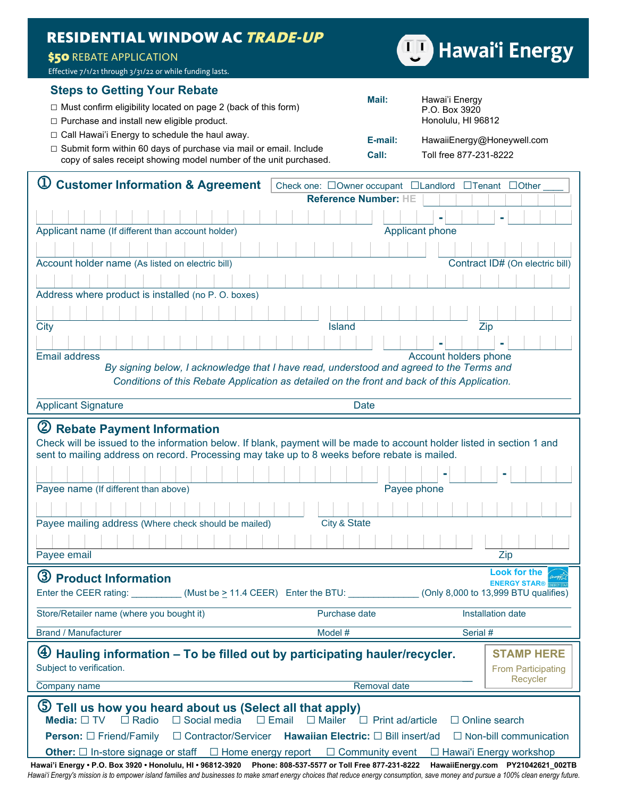## RESIDENTIAL WINDOW AC TRADE-UP

## **\$50 REBATE APPLICATION**

Effective 7/1/21 through 3/31/22 or while funding lasts.

## **Steps to Getting Your Rebate**

|                                                                                                                                               | Mail:            | Hawai'i Energy                                       |
|-----------------------------------------------------------------------------------------------------------------------------------------------|------------------|------------------------------------------------------|
| $\Box$ Must confirm eligibility located on page 2 (back of this form)                                                                         |                  | P.O. Box 3920                                        |
| □ Purchase and install new eligible product.                                                                                                  |                  | Honolulu, HI 96812                                   |
| $\Box$ Call Hawai'i Energy to schedule the haul away.                                                                                         | E-mail:<br>Call: | HawaiiEnergy@Honeywell.com<br>Toll free 877-231-8222 |
| $\Box$ Submit form within 60 days of purchase via mail or email. Include<br>copy of sales receipt showing model number of the unit purchased. |                  |                                                      |

| <b>Customer Information &amp; Agreement</b><br>Check one: □Owner occupant □Landlord □Tenant □Other                                                                                                              |  |  |  |  |
|-----------------------------------------------------------------------------------------------------------------------------------------------------------------------------------------------------------------|--|--|--|--|
| Reference Number: HE                                                                                                                                                                                            |  |  |  |  |
|                                                                                                                                                                                                                 |  |  |  |  |
| Applicant phone<br>Applicant name (If different than account holder)                                                                                                                                            |  |  |  |  |
|                                                                                                                                                                                                                 |  |  |  |  |
| Contract ID# (On electric bill)<br>Account holder name (As listed on electric bill)                                                                                                                             |  |  |  |  |
|                                                                                                                                                                                                                 |  |  |  |  |
| Address where product is installed (no P.O. boxes)                                                                                                                                                              |  |  |  |  |
|                                                                                                                                                                                                                 |  |  |  |  |
| City<br>Island<br>Zip                                                                                                                                                                                           |  |  |  |  |
|                                                                                                                                                                                                                 |  |  |  |  |
| <b>Email address</b><br>Account holders phone                                                                                                                                                                   |  |  |  |  |
| By signing below, I acknowledge that I have read, understood and agreed to the Terms and                                                                                                                        |  |  |  |  |
| Conditions of this Rebate Application as detailed on the front and back of this Application.                                                                                                                    |  |  |  |  |
| <b>Applicant Signature</b><br><b>Date</b>                                                                                                                                                                       |  |  |  |  |
| 2 Rebate Payment Information                                                                                                                                                                                    |  |  |  |  |
| Check will be issued to the information below. If blank, payment will be made to account holder listed in section 1 and                                                                                         |  |  |  |  |
| sent to mailing address on record. Processing may take up to 8 weeks before rebate is mailed.                                                                                                                   |  |  |  |  |
|                                                                                                                                                                                                                 |  |  |  |  |
| Payee name (If different than above)<br>Payee phone                                                                                                                                                             |  |  |  |  |
| City & State<br>Payee mailing address (Where check should be mailed)                                                                                                                                            |  |  |  |  |
|                                                                                                                                                                                                                 |  |  |  |  |
|                                                                                                                                                                                                                 |  |  |  |  |
| Payee email<br>Zip                                                                                                                                                                                              |  |  |  |  |
| <b>Look for the</b><br>3 Product Information<br><b>ENERGY STAR®</b>                                                                                                                                             |  |  |  |  |
| Enter the CEER rating: _________(Must be > 11.4 CEER) Enter the BTU: _________(Only 8,000 to 13,999 BTU qualifies)                                                                                              |  |  |  |  |
| Purchase date<br>Installation date<br>Store/Retailer name (where you bought it)                                                                                                                                 |  |  |  |  |
| <b>Brand / Manufacturer</b><br>Model #<br>Serial #                                                                                                                                                              |  |  |  |  |
| $\bigoplus$ Hauling information – To be filled out by participating hauler/recycler.<br><b>STAMP HERE</b>                                                                                                       |  |  |  |  |
| Subject to verification.<br><b>From Participating</b>                                                                                                                                                           |  |  |  |  |
| Recycler<br>Company name<br>Removal date                                                                                                                                                                        |  |  |  |  |
|                                                                                                                                                                                                                 |  |  |  |  |
| $\circledS$<br>Tell us how you heard about us (Select all that apply)<br>$\Box$ Radio<br>$\Box$ Social media<br>Media: $\Box$ TV<br>$\Box$ Email<br>$\Box$ Print ad/article<br>□ Online search<br>$\Box$ Mailer |  |  |  |  |
| □ Contractor/Servicer<br><b>Hawaiian Electric:</b> □ Bill insert/ad<br>$\Box$ Non-bill communication<br><b>Person:</b> □ Friend/Family                                                                          |  |  |  |  |
| $\Box$ Home energy report<br>$\Box$ Community event<br>□ Hawai'i Energy workshop<br><b>Other:</b> $\Box$ In-store signage or staff                                                                              |  |  |  |  |

**Hawai'i Energy • P.O. Box 3920 • Honolulu, HI • 96812-3920 Phone: 808-537-5577 or Toll Free 877-231-8222 HawaiiEnergy.com PY21042621\_002TB** *Hawai'i Energy's mission is to empower island families and businesses to make smart energy choices that reduce energy consumption, save money and pursue a 100% clean energy future.*